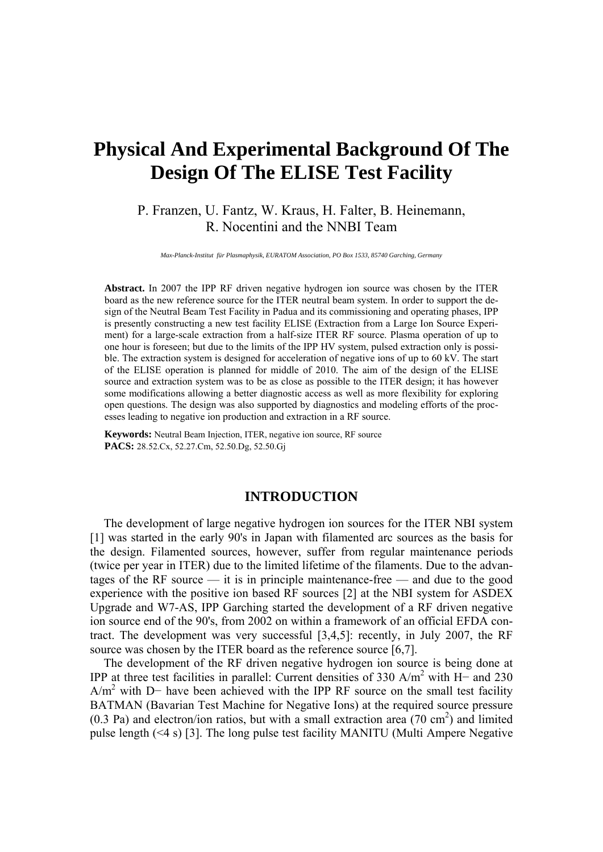# **Physical And Experimental Background Of The Design Of The ELISE Test Facility**

P. Franzen, U. Fantz, W. Kraus, H. Falter, B. Heinemann, R. Nocentini and the NNBI Team

*Max-Planck-Institut für Plasmaphysik, EURATOM Association, PO Box 1533, 85740 Garching, Germany* 

**Abstract.** In 2007 the IPP RF driven negative hydrogen ion source was chosen by the ITER board as the new reference source for the ITER neutral beam system. In order to support the design of the Neutral Beam Test Facility in Padua and its commissioning and operating phases, IPP is presently constructing a new test facility ELISE (Extraction from a Large Ion Source Experiment) for a large-scale extraction from a half-size ITER RF source. Plasma operation of up to one hour is foreseen; but due to the limits of the IPP HV system, pulsed extraction only is possible. The extraction system is designed for acceleration of negative ions of up to 60 kV. The start of the ELISE operation is planned for middle of 2010. The aim of the design of the ELISE source and extraction system was to be as close as possible to the ITER design; it has however some modifications allowing a better diagnostic access as well as more flexibility for exploring open questions. The design was also supported by diagnostics and modeling efforts of the processes leading to negative ion production and extraction in a RF source.

**Keywords:** Neutral Beam Injection, ITER, negative ion source, RF source **PACS:** 28.52.Cx, 52.27.Cm, 52.50.Dg, 52.50.Gj

# **INTRODUCTION**

The development of large negative hydrogen ion sources for the ITER NBI system [[1\]](#page-9-0) was started in the early 90's in Japan with filamented arc sources as the basis for the design. Filamented sources, however, suffer from regular maintenance periods (twice per year in ITER) due to the limited lifetime of the filaments. Due to the advantages of the RF source  $-$  it is in principle maintenance-free  $-$  and due to the good experience with the positive ion based RF sources [\[2](#page-9-1)] at the NBI system for ASDEX Upgrade and W7-AS, IPP Garching started the development of a RF driven negative ion source end of the 90's, from 2002 on within a framework of an official EFDA contract. The development was very successful [\[3](#page-9-2)[,4](#page-9-3)[,5](#page-9-4)]: recently, in July 2007, the RF source was chosen by the ITER board as the reference source [\[6](#page-9-5)[,7](#page-9-6)].

The development of the RF driven negative hydrogen ion source is being done at IPP at three test facilities in parallel: Current densities of 330 A/m2 with H− and 230 A/m<sup>2</sup> with D– have been achieved with the IPP RF source on the small test facility BATMAN (Bavarian Test Machine for Negative Ions) at the required source pressure  $(0.3 \text{ Pa})$  and electron/ion ratios, but with a small extraction area  $(70 \text{ cm}^2)$  and limited pulse length (<4 s) [[3\]](#page-9-2). The long pulse test facility MANITU (Multi Ampere Negative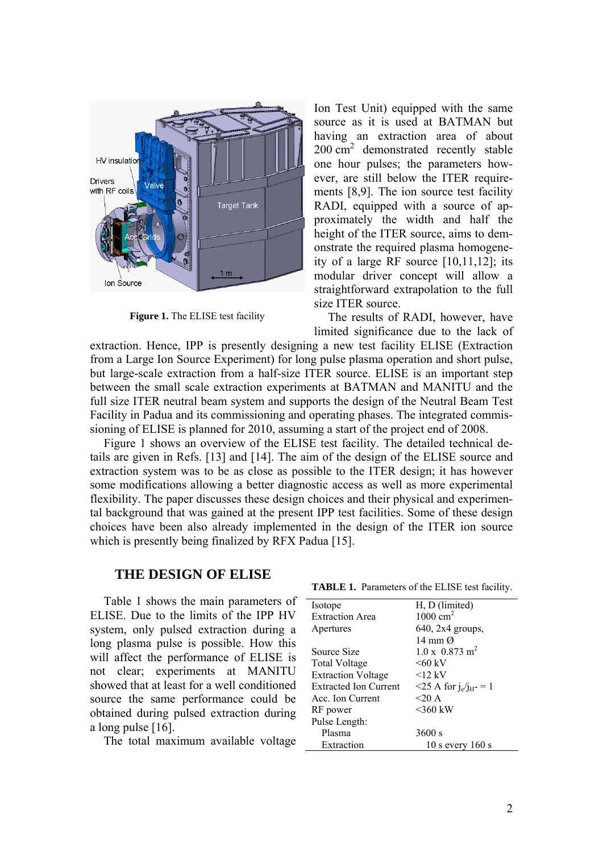

**Figure 1.** The ELISE test facility

Ion Test Unit) equipped with the same source as it is used at BATMAN but having an extraction area of about 200 cm<sup>2</sup> demonstrated recently stable one hour pulses; the parameters however, are still below the ITER requirements [\[8](#page-9-7)[,9](#page-9-8)]. The ion source test facility RADI, equipped with a source of approximately the width and half the height of the ITER source, aims to demonstrate the required plasma homogeneity of a large RF source [\[10](#page-9-9),[11](#page-9-10),[12](#page-9-11)]; its modular driver concept will allow a straightforward extrapolation to the full size ITER source.

The results of RADI, however, have limited significance due to the lack of

<span id="page-1-0"></span>extraction. Hence, IPP is presently designing a new test facility ELISE (Extraction from a Large Ion Source Experiment) for long pulse plasma operation and short pulse, but large-scale extraction from a half-size ITER source. ELISE is an important step between the small scale extraction experiments at BATMAN and MANITU and the full size ITER neutral beam system and supports the design of the Neutral Beam Test Facility in Padua and its commissioning and operating phases. The integrated commissioning of ELISE is planned for 2010, assuming a start of the project end of 2008.

[Figure 1](#page-1-0) shows an overview of the ELISE test facility. The detailed technical details are given in Refs. [\[13](#page-9-12)] and [[14\]](#page-9-13). The aim of the design of the ELISE source and extraction system was to be as close as possible to the ITER design; it has however some modifications allowing a better diagnostic access as well as more experimental flexibility. The paper discusses these design choices and their physical and experimental background that was gained at the present IPP test facilities. Some of these design choices have been also already implemented in the design of the ITER ion source which is presently being finalized by RFX Padua [[15\]](#page-9-14).

# **THE DESIGN OF ELISE**

<span id="page-1-1"></span>[Table 1](#page-1-1) shows the main parameters of ELISE. Due to the limits of the IPP HV system, only pulsed extraction during a long plasma pulse is possible. How this will affect the performance of ELISE is not clear; experiments at MANITU showed that at least for a well conditioned source the same performance could be obtained during pulsed extraction during a long pulse [[16\]](#page-9-15).

The total maximum available voltage

**TABLE 1.** Parameters of the ELISE test facility.

| Isotope                      | H, D (limited)                    |
|------------------------------|-----------------------------------|
| <b>Extraction Area</b>       | 1000 $cm2$                        |
| Apertures                    | $640$ , $2x4$ groups,             |
|                              | 14 mm $\Omega$                    |
| Source Size                  | $1.0 \times 0.873$ m <sup>2</sup> |
| Total Voltage                | $<60~{\rm kV}$                    |
| <b>Extraction Voltage</b>    | $12$ kV                           |
| <b>Extracted Ion Current</b> | $\leq$ 25 A for $j_e/j_H = 1$     |
| Acc. Ion Current             | $<$ 20 A                          |
| RF power                     | $<360$ kW                         |
| Pulse Length:                |                                   |
| Plasma                       | 3600 s                            |
| Extraction                   | $10$ s every $160$ s              |
|                              |                                   |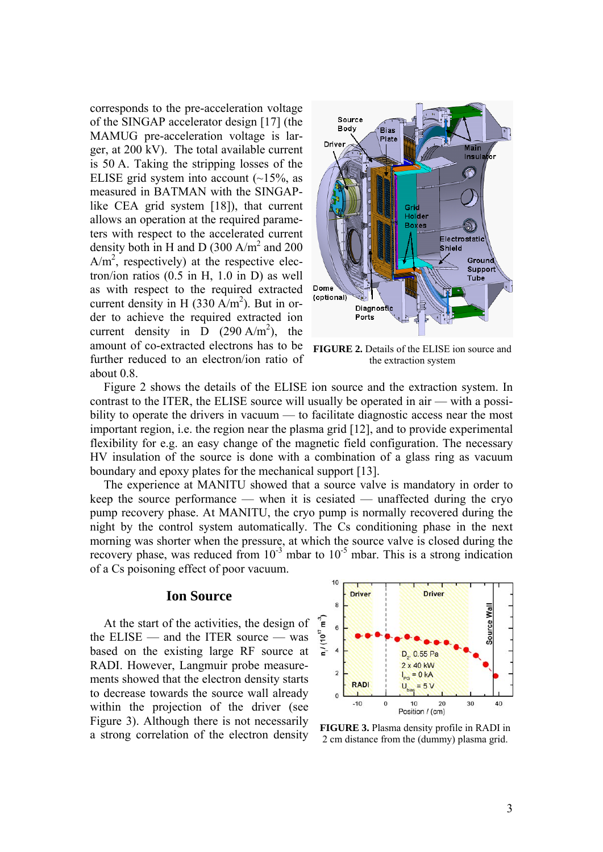corresponds to the pre-acceleration voltage of the SINGAP accelerator design [\[17](#page-9-16)] (the MAMUG pre-acceleration voltage is larger, at 200 kV). The total available current is 50 A. Taking the stripping losses of the ELISE grid system into account  $(-15\%$ , as measured in BATMAN with the SINGAPlike CEA grid system [[18\]](#page-9-17)), that current allows an operation at the required parameters with respect to the accelerated current density both in H and D (300 A/m<sup>2</sup> and 200  $A/m<sup>2</sup>$ , respectively) at the respective electron/ion ratios (0.5 in H, 1.0 in D) as well as with respect to the required extracted current density in H (330 A/m<sup>2</sup>). But in order to achieve the required extracted ion current density in  $\overrightarrow{D}$  (290 A/m<sup>2</sup>), the amount of co-extracted electrons has to be further reduced to an electron/ion ratio of about 0.8.



**FIGURE 2.** Details of the ELISE ion source and the extraction system

<span id="page-2-0"></span>[Figure 2](#page-2-0) shows the details of the ELISE ion source and the extraction system. In contrast to the ITER, the ELISE source will usually be operated in air — with a possibility to operate the drivers in vacuum — to facilitate diagnostic access near the most important region, i.e. the region near the plasma grid [\[12](#page-9-11)], and to provide experimental flexibility for e.g. an easy change of the magnetic field configuration. The necessary HV insulation of the source is done with a combination of a glass ring as vacuum boundary and epoxy plates for the mechanical support [\[13](#page-9-12)].

The experience at MANITU showed that a source valve is mandatory in order to keep the source performance — when it is cesiated — unaffected during the cryo pump recovery phase. At MANITU, the cryo pump is normally recovered during the night by the control system automatically. The Cs conditioning phase in the next morning was shorter when the pressure, at which the source valve is closed during the recovery phase, was reduced from  $10^{-3}$  mbar to  $10^{-5}$  mbar. This is a strong indication of a Cs poisoning effect of poor vacuum.

## **Ion Source**

<span id="page-2-1"></span>At the start of the activities, the design of the ELISE — and the ITER source — was based on the existing large RF source at RADI. However, Langmuir probe measurements showed that the electron density starts to decrease towards the source wall already within the projection of the driver (see [Figure 3\)](#page-2-1). Although there is not necessarily **FIGURE 3.** Plasma density profile in RADI in<br>a strong correlation of the electron density 2 cm distance from the (dummy) plasma grid



2 cm distance from the (dummy) plasma grid.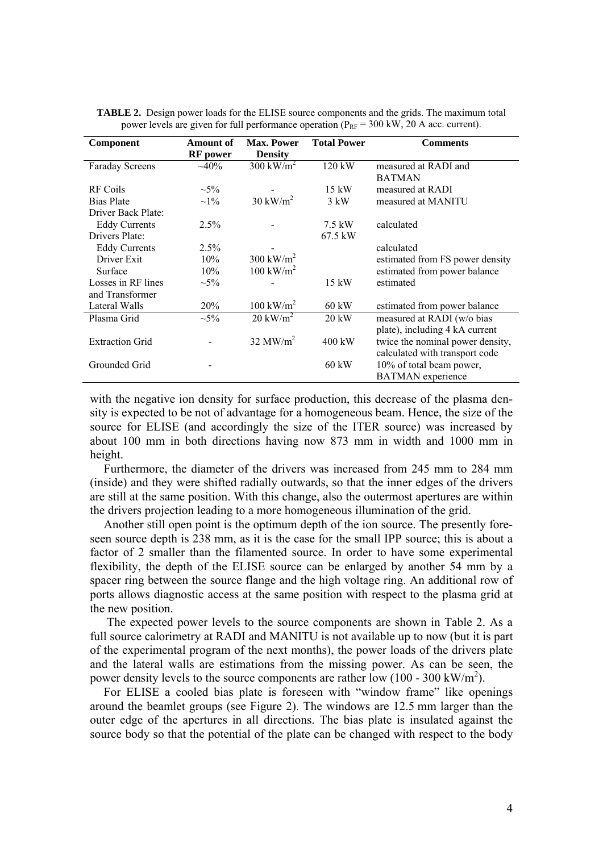<span id="page-3-0"></span>

| Component              | <b>Amount of</b> | <b>Max. Power</b>      | <b>Total Power</b> | <b>Comments</b>                  |  |  |  |
|------------------------|------------------|------------------------|--------------------|----------------------------------|--|--|--|
|                        | <b>RF</b> power  | <b>Density</b>         |                    |                                  |  |  |  |
| <b>Faraday Screens</b> | $~10\%$          | $300 \text{ kW/m}^2$   | 120 kW             | measured at RADI and             |  |  |  |
|                        |                  |                        |                    | <b>BATMAN</b>                    |  |  |  |
| RF Coils               | $\sim$ 5%        |                        | $15 \text{ kW}$    | measured at RADI                 |  |  |  |
| <b>Bias Plate</b>      | $\sim$ 1\%       | $30 \text{ kW/m}^2$    | $3 \text{ kW}$     | measured at MANITU               |  |  |  |
| Driver Back Plate:     |                  |                        |                    |                                  |  |  |  |
| <b>Eddy Currents</b>   | 2.5%             |                        | 7.5 kW             | calculated                       |  |  |  |
| Drivers Plate:         |                  |                        | 67.5 kW            |                                  |  |  |  |
| <b>Eddy Currents</b>   | 2.5%             |                        |                    | calculated                       |  |  |  |
| Driver Exit            | 10%              | $300 \text{ kW/m}^2$   |                    | estimated from FS power density  |  |  |  |
| Surface                | 10%              | $100 \text{ kW/m}^2$   |                    | estimated from power balance     |  |  |  |
| Losses in RF lines     | $\sim 5\%$       |                        | $15 \text{ kW}$    | estimated                        |  |  |  |
| and Transformer        |                  |                        |                    |                                  |  |  |  |
| Lateral Walls          | 20%              | $100 \text{ kW/m}^2$   | $60 \text{ kW}$    | estimated from power balance     |  |  |  |
| Plasma Grid            | $\sim 5\%$       | $20 \text{ kW/m}^2$    | 20 kW              | measured at RADI (w/o bias       |  |  |  |
|                        |                  |                        |                    | plate), including 4 kA current   |  |  |  |
| <b>Extraction Grid</b> |                  | $32$ MW/m <sup>2</sup> | $400 \text{ kW}$   | twice the nominal power density, |  |  |  |
|                        |                  |                        |                    | calculated with transport code   |  |  |  |
| Grounded Grid          |                  |                        | 60 kW              | 10% of total beam power,         |  |  |  |
|                        |                  |                        |                    | <b>BATMAN</b> experience         |  |  |  |

|  |  |  | <b>TABLE 2.</b> Design power loads for the ELISE source components and the grids. The maximum total |  |  |  |
|--|--|--|-----------------------------------------------------------------------------------------------------|--|--|--|
|  |  |  | power levels are given for full performance operation ( $P_{RF}$ = 300 kW, 20 A acc. current).      |  |  |  |

with the negative ion density for surface production, this decrease of the plasma density is expected to be not of advantage for a homogeneous beam. Hence, the size of the source for ELISE (and accordingly the size of the ITER source) was increased by about 100 mm in both directions having now 873 mm in width and 1000 mm in height.

Furthermore, the diameter of the drivers was increased from 245 mm to 284 mm (inside) and they were shifted radially outwards, so that the inner edges of the drivers are still at the same position. With this change, also the outermost apertures are within the drivers projection leading to a more homogeneous illumination of the grid.

Another still open point is the optimum depth of the ion source. The presently foreseen source depth is 238 mm, as it is the case for the small IPP source; this is about a factor of 2 smaller than the filamented source. In order to have some experimental flexibility, the depth of the ELISE source can be enlarged by another 54 mm by a spacer ring between the source flange and the high voltage ring. An additional row of ports allows diagnostic access at the same position with respect to the plasma grid at the new position.

 The expected power levels to the source components are shown in [Table 2.](#page-3-0) As a full source calorimetry at RADI and MANITU is not available up to now (but it is part of the experimental program of the next months), the power loads of the drivers plate and the lateral walls are estimations from the missing power. As can be seen, the power density levels to the source components are rather low  $(100 - 300 \text{ kW/m}^2)$ .

For ELISE a cooled bias plate is foreseen with "window frame" like openings around the beamlet groups (see [Figure 2\)](#page-2-0). The windows are 12.5 mm larger than the outer edge of the apertures in all directions. The bias plate is insulated against the source body so that the potential of the plate can be changed with respect to the body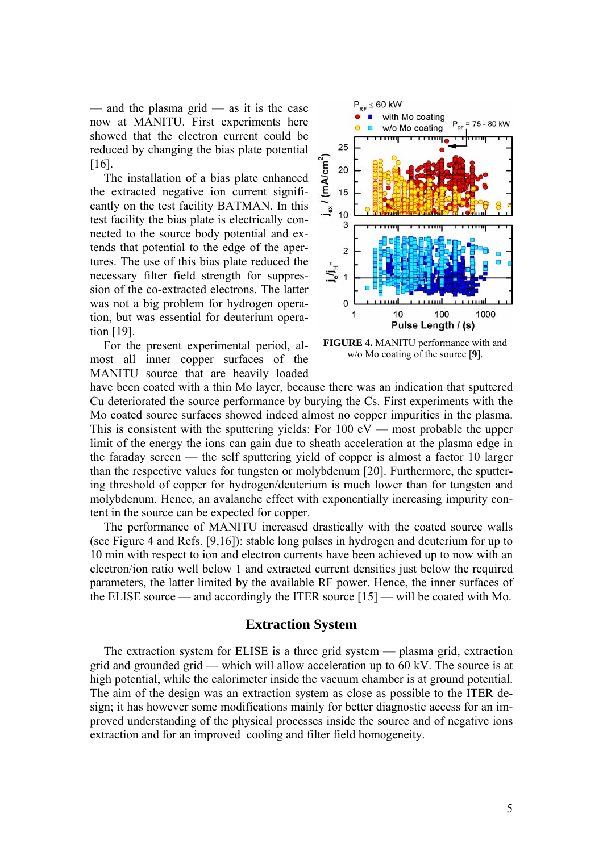— and the plasma grid — as it is the case now at MANITU. First experiments here showed that the electron current could be reduced by changing the bias plate potential [[16\]](#page-9-15).

The installation of a bias plate enhanced the extracted negative ion current significantly on the test facility BATMAN. In this test facility the bias plate is electrically connected to the source body potential and extends that potential to the edge of the apertures. The use of this bias plate reduced the necessary filter field strength for suppression of the co-extracted electrons. The latter was not a big problem for hydrogen operation, but was essential for deuterium operation [[19\]](#page-9-18).

<span id="page-4-0"></span>For the present experimental period, almost all inner copper surfaces of the MANITU source that are heavily loaded



**FIGURE 4.** MANITU performance with and w/o Mo coating of the source [**[9](#page-9-8)**].

have been coated with a thin Mo layer, because there was an indication that sputtered Cu deteriorated the source performance by burying the Cs. First experiments with the Mo coated source surfaces showed indeed almost no copper impurities in the plasma. This is consistent with the sputtering yields: For  $100 \text{ eV}$  — most probable the upper limit of the energy the ions can gain due to sheath acceleration at the plasma edge in the faraday screen — the self sputtering yield of copper is almost a factor 10 larger than the respective values for tungsten or molybdenum [[20\]](#page-9-19). Furthermore, the sputtering threshold of copper for hydrogen/deuterium is much lower than for tungsten and molybdenum. Hence, an avalanche effect with exponentially increasing impurity content in the source can be expected for copper.

The performance of MANITU increased drastically with the coated source walls (see [Figure 4](#page-4-0) and Refs. [\[9](#page-9-8)[,16](#page-9-15)]): stable long pulses in hydrogen and deuterium for up to 10 min with respect to ion and electron currents have been achieved up to now with an electron/ion ratio well below 1 and extracted current densities just below the required parameters, the latter limited by the available RF power. Hence, the inner surfaces of the ELISE source — and accordingly the ITER source [\[15](#page-9-14)] — will be coated with Mo.

## **Extraction System**

The extraction system for ELISE is a three grid system — plasma grid, extraction grid and grounded grid — which will allow acceleration up to 60 kV. The source is at high potential, while the calorimeter inside the vacuum chamber is at ground potential. The aim of the design was an extraction system as close as possible to the ITER design; it has however some modifications mainly for better diagnostic access for an improved understanding of the physical processes inside the source and of negative ions extraction and for an improved cooling and filter field homogeneity.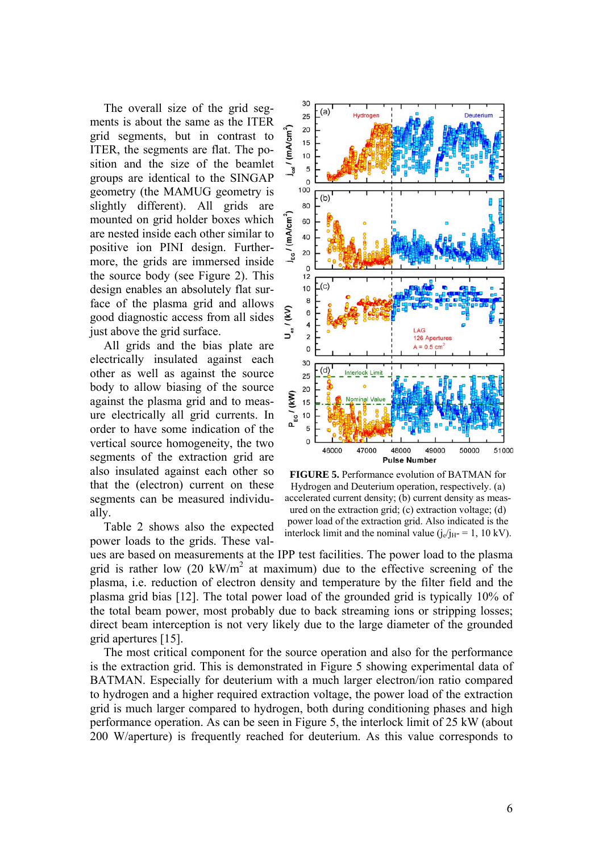The overall size of the grid segments is about the same as the ITER grid segments, but in contrast to ITER, the segments are flat. The position and the size of the beamlet groups are identical to the SINGAP geometry (the MAMUG geometry is slightly different). All grids are mounted on grid holder boxes which are nested inside each other similar to positive ion PINI design. Furthermore, the grids are immersed inside the source body (see [Figure 2\)](#page-2-0). This design enables an absolutely flat surface of the plasma grid and allows good diagnostic access from all sides just above the grid surface.

All grids and the bias plate are electrically insulated against each other as well as against the source body to allow biasing of the source against the plasma grid and to measure electrically all grid currents. In order to have some indication of the vertical source homogeneity, the two segments of the extraction grid are also insulated against each other so that the (electron) current on these segments can be measured individually.

<span id="page-5-0"></span>[Table 2](#page-3-0) shows also the expected power loads to the grids. These val-



**FIGURE 5.** Performance evolution of BATMAN for Hydrogen and Deuterium operation, respectively. (a) accelerated current density; (b) current density as measured on the extraction grid; (c) extraction voltage; (d) power load of the extraction grid. Also indicated is the interlock limit and the nominal value  $(j_e/j_H = 1, 10 \text{ kV})$ .

ues are based on measurements at the IPP test facilities. The power load to the plasma grid is rather low  $(20 \text{ kW/m}^2$  at maximum) due to the effective screening of the plasma, i.e. reduction of electron density and temperature by the filter field and the plasma grid bias [[12\]](#page-9-11). The total power load of the grounded grid is typically 10% of the total beam power, most probably due to back streaming ions or stripping losses; direct beam interception is not very likely due to the large diameter of the grounded grid apertures [\[15](#page-9-14)].

The most critical component for the source operation and also for the performance is the extraction grid. This is demonstrated in [Figure 5](#page-5-0) showing experimental data of BATMAN. Especially for deuterium with a much larger electron/ion ratio compared to hydrogen and a higher required extraction voltage, the power load of the extraction grid is much larger compared to hydrogen, both during conditioning phases and high performance operation. As can be seen in [Figure 5,](#page-5-0) the interlock limit of 25 kW (about 200 W/aperture) is frequently reached for deuterium. As this value corresponds to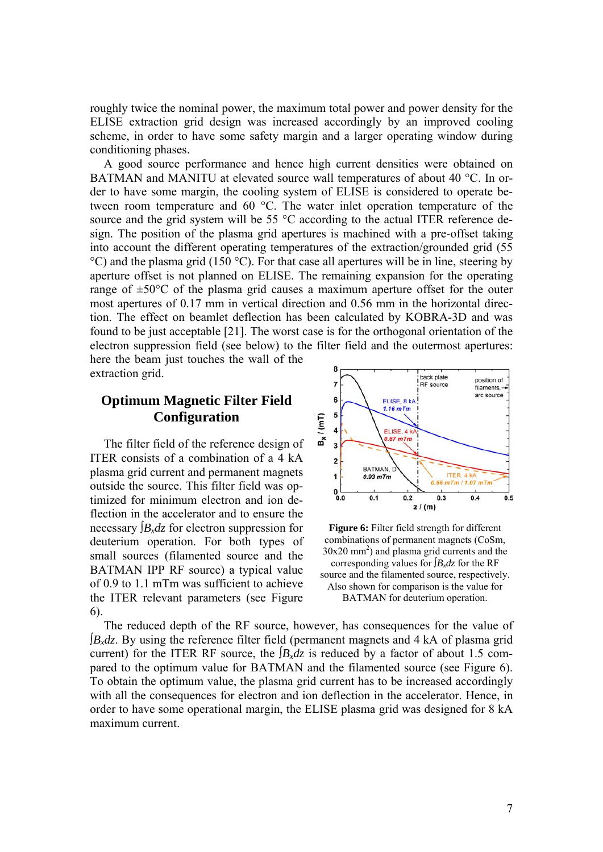roughly twice the nominal power, the maximum total power and power density for the ELISE extraction grid design was increased accordingly by an improved cooling scheme, in order to have some safety margin and a larger operating window during conditioning phases.

A good source performance and hence high current densities were obtained on BATMAN and MANITU at elevated source wall temperatures of about 40 °C. In order to have some margin, the cooling system of ELISE is considered to operate between room temperature and 60 °C. The water inlet operation temperature of the source and the grid system will be 55 °C according to the actual ITER reference design. The position of the plasma grid apertures is machined with a pre-offset taking into account the different operating temperatures of the extraction/grounded grid (55 °C) and the plasma grid (150 °C). For that case all apertures will be in line, steering by aperture offset is not planned on ELISE. The remaining expansion for the operating range of  $\pm 50^{\circ}$ C of the plasma grid causes a maximum aperture offset for the outer most apertures of 0.17 mm in vertical direction and 0.56 mm in the horizontal direction. The effect on beamlet deflection has been calculated by KOBRA-3D and was found to be just acceptable [\[21](#page-9-20)]. The worst case is for the orthogonal orientation of the electron suppression field (see below) to the filter field and the outermost apertures: here the beam just touches the wall of the

extraction grid.

# **Optimum Magnetic Filter Field Configuration**

<span id="page-6-0"></span>The filter field of the reference design of ITER consists of a combination of a 4 kA plasma grid current and permanent magnets outside the source. This filter field was optimized for minimum electron and ion deflection in the accelerator and to ensure the necessary  $\int B_x dz$  for electron suppression for deuterium operation. For both types of small sources (filamented source and the BATMAN IPP RF source) a typical value of 0.9 to 1.1 mTm was sufficient to achieve the ITER relevant parameters (see [Figure](#page-6-0)  [6\)](#page-6-0).



**Figure 6:** Filter field strength for different combinations of permanent magnets (CoSm, 30x20 mm2 ) and plasma grid currents and the corresponding values for ∫*B<sub>x</sub>dz* for the RF source and the filamented source, respectively. Also shown for comparison is the value for BATMAN for deuterium operation.

The reduced depth of the RF source, however, has consequences for the value of ∫*Bxdz*. By using the reference filter field (permanent magnets and 4 kA of plasma grid current) for the ITER RF source, the  $\int B_x dz$  is reduced by a factor of about 1.5 compared to the optimum value for BATMAN and the filamented source (see [Figure 6\)](#page-6-0). To obtain the optimum value, the plasma grid current has to be increased accordingly with all the consequences for electron and ion deflection in the accelerator. Hence, in order to have some operational margin, the ELISE plasma grid was designed for 8 kA maximum current.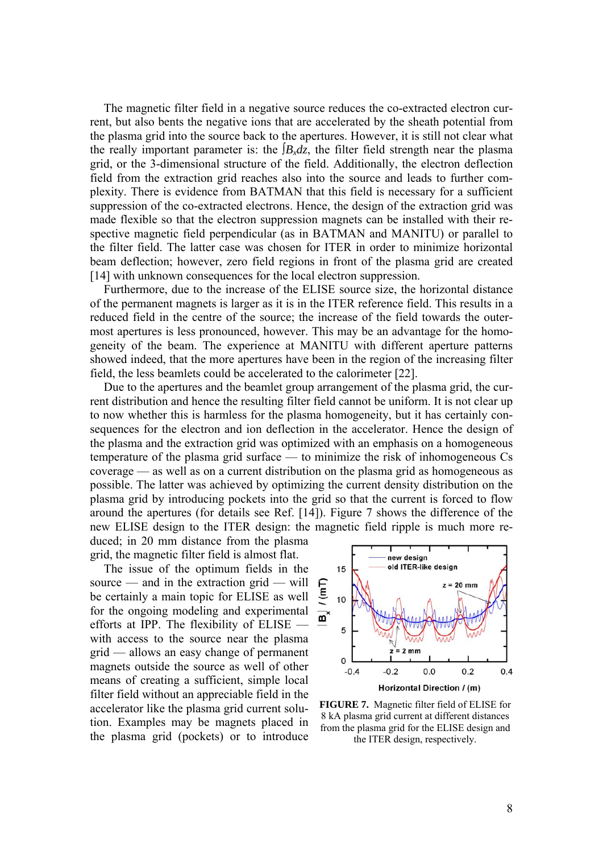The magnetic filter field in a negative source reduces the co-extracted electron current, but also bents the negative ions that are accelerated by the sheath potential from the plasma grid into the source back to the apertures. However, it is still not clear what the really important parameter is: the  $\int B_x \, dz$ , the filter field strength near the plasma grid, or the 3-dimensional structure of the field. Additionally, the electron deflection field from the extraction grid reaches also into the source and leads to further complexity. There is evidence from BATMAN that this field is necessary for a sufficient suppression of the co-extracted electrons. Hence, the design of the extraction grid was made flexible so that the electron suppression magnets can be installed with their respective magnetic field perpendicular (as in BATMAN and MANITU) or parallel to the filter field. The latter case was chosen for ITER in order to minimize horizontal beam deflection; however, zero field regions in front of the plasma grid are created [[14\]](#page-9-13) with unknown consequences for the local electron suppression.

Furthermore, due to the increase of the ELISE source size, the horizontal distance of the permanent magnets is larger as it is in the ITER reference field. This results in a reduced field in the centre of the source; the increase of the field towards the outermost apertures is less pronounced, however. This may be an advantage for the homogeneity of the beam. The experience at MANITU with different aperture patterns showed indeed, that the more apertures have been in the region of the increasing filter field, the less beamlets could be accelerated to the calorimeter [[22\]](#page-9-21).

Due to the apertures and the beamlet group arrangement of the plasma grid, the current distribution and hence the resulting filter field cannot be uniform. It is not clear up to now whether this is harmless for the plasma homogeneity, but it has certainly consequences for the electron and ion deflection in the accelerator. Hence the design of the plasma and the extraction grid was optimized with an emphasis on a homogeneous temperature of the plasma grid surface — to minimize the risk of inhomogeneous Cs coverage — as well as on a current distribution on the plasma grid as homogeneous as possible. The latter was achieved by optimizing the current density distribution on the plasma grid by introducing pockets into the grid so that the current is forced to flow around the apertures (for details see Ref. [\[14\]](#page-9-13)). [Figure 7](#page-7-0) shows the difference of the new ELISE design to the ITER design: the magnetic field ripple is much more re-

duced; in 20 mm distance from the plasma grid, the magnetic filter field is almost flat.

<span id="page-7-0"></span>The issue of the optimum fields in the source — and in the extraction grid — will be certainly a main topic for ELISE as well for the ongoing modeling and experimental efforts at IPP. The flexibility of ELISE with access to the source near the plasma grid — allows an easy change of permanent magnets outside the source as well of other means of creating a sufficient, simple local filter field without an appreciable field in the accelerator like the plasma grid current solution. Examples may be magnets placed in the plasma grid (pockets) or to introduce



**FIGURE 7.** Magnetic filter field of ELISE for 8 kA plasma grid current at different distances from the plasma grid for the ELISE design and the ITER design, respectively.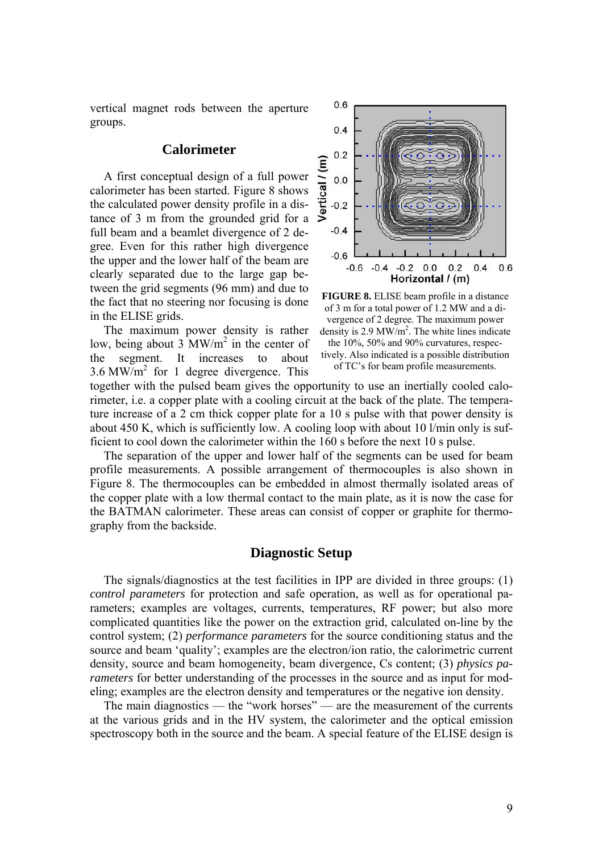vertical magnet rods between the aperture groups.

## **Calorimeter**

A first conceptual design of a full power calorimeter has been started. [Figure 8](#page-8-0) shows the calculated power density profile in a distance of 3 m from the grounded grid for a full beam and a beamlet divergence of 2 degree. Even for this rather high divergence the upper and the lower half of the beam are clearly separated due to the large gap between the grid segments (96 mm) and due to the fact that no steering nor focusing is done in the ELISE grids.

<span id="page-8-0"></span>The maximum power density is rather low, being about  $3 \text{ MW/m}^2$  in the center of the segment. It increases to about  $3.6$  MW/m<sup>2</sup> for 1 degree divergence. This



**FIGURE 8.** ELISE beam profile in a distance of 3 m for a total power of 1.2 MW and a divergence of 2 degree. The maximum power density is 2.9 MW/m<sup>2</sup>. The white lines indicate the 10%, 50% and 90% curvatures, respectively. Also indicated is a possible distribution of TC's for beam profile measurements.

together with the pulsed beam gives the opportunity to use an inertially cooled calorimeter, i.e. a copper plate with a cooling circuit at the back of the plate. The temperature increase of a 2 cm thick copper plate for a 10 s pulse with that power density is about 450 K, which is sufficiently low. A cooling loop with about 10 l/min only is sufficient to cool down the calorimeter within the 160 s before the next 10 s pulse.

The separation of the upper and lower half of the segments can be used for beam profile measurements. A possible arrangement of thermocouples is also shown in [Figure 8.](#page-8-0) The thermocouples can be embedded in almost thermally isolated areas of the copper plate with a low thermal contact to the main plate, as it is now the case for the BATMAN calorimeter. These areas can consist of copper or graphite for thermography from the backside.

# **Diagnostic Setup**

The signals/diagnostics at the test facilities in IPP are divided in three groups: (1) *control parameters* for protection and safe operation, as well as for operational parameters; examples are voltages, currents, temperatures, RF power; but also more complicated quantities like the power on the extraction grid, calculated on-line by the control system; (2) *performance parameters* for the source conditioning status and the source and beam 'quality'; examples are the electron/ion ratio, the calorimetric current density, source and beam homogeneity, beam divergence, Cs content; (3) *physics parameters* for better understanding of the processes in the source and as input for modeling; examples are the electron density and temperatures or the negative ion density.

The main diagnostics — the "work horses" — are the measurement of the currents at the various grids and in the HV system, the calorimeter and the optical emission spectroscopy both in the source and the beam. A special feature of the ELISE design is